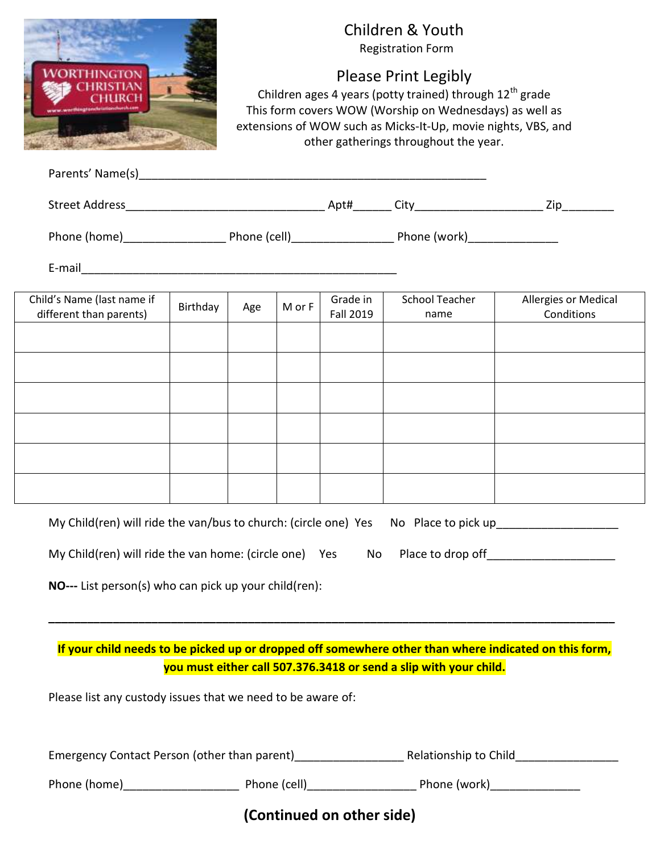|                                                                                                                                                                                                                                                                                  |          | Children & Youth<br><b>Registration Form</b><br><b>Please Print Legibly</b><br>Children ages 4 years (potty trained) through 12 <sup>th</sup> grade<br>This form covers WOW (Worship on Wednesdays) as well as<br>extensions of WOW such as Micks-It-Up, movie nights, VBS, and<br>other gatherings throughout the year.<br>Parents' Name(s) example and the set of the set of the set of the set of the set of the set of the set of the set of the set of the set of the set of the set of the set of the set of the set of the set of the set of the se |        |                              |                               |                                           |
|----------------------------------------------------------------------------------------------------------------------------------------------------------------------------------------------------------------------------------------------------------------------------------|----------|------------------------------------------------------------------------------------------------------------------------------------------------------------------------------------------------------------------------------------------------------------------------------------------------------------------------------------------------------------------------------------------------------------------------------------------------------------------------------------------------------------------------------------------------------------|--------|------------------------------|-------------------------------|-------------------------------------------|
|                                                                                                                                                                                                                                                                                  |          |                                                                                                                                                                                                                                                                                                                                                                                                                                                                                                                                                            |        |                              |                               |                                           |
|                                                                                                                                                                                                                                                                                  |          |                                                                                                                                                                                                                                                                                                                                                                                                                                                                                                                                                            |        |                              |                               |                                           |
|                                                                                                                                                                                                                                                                                  |          |                                                                                                                                                                                                                                                                                                                                                                                                                                                                                                                                                            |        |                              |                               |                                           |
| Child's Name (last name if<br>different than parents)                                                                                                                                                                                                                            | Birthday | Age                                                                                                                                                                                                                                                                                                                                                                                                                                                                                                                                                        | M or F | Grade in<br><b>Fall 2019</b> | <b>School Teacher</b><br>name | <b>Allergies or Medical</b><br>Conditions |
|                                                                                                                                                                                                                                                                                  |          |                                                                                                                                                                                                                                                                                                                                                                                                                                                                                                                                                            |        |                              |                               |                                           |
|                                                                                                                                                                                                                                                                                  |          |                                                                                                                                                                                                                                                                                                                                                                                                                                                                                                                                                            |        |                              |                               |                                           |
|                                                                                                                                                                                                                                                                                  |          |                                                                                                                                                                                                                                                                                                                                                                                                                                                                                                                                                            |        |                              |                               |                                           |
|                                                                                                                                                                                                                                                                                  |          |                                                                                                                                                                                                                                                                                                                                                                                                                                                                                                                                                            |        |                              |                               |                                           |
|                                                                                                                                                                                                                                                                                  |          |                                                                                                                                                                                                                                                                                                                                                                                                                                                                                                                                                            |        |                              |                               |                                           |
| My Child(ren) will ride the van/bus to church: (circle one) Yes No Place to pick up_______________________<br>My Child(ren) will ride the van home: (circle one) Yes<br>Place to drop off________________________<br>No<br>NO--- List person(s) who can pick up your child(ren): |          |                                                                                                                                                                                                                                                                                                                                                                                                                                                                                                                                                            |        |                              |                               |                                           |
| If your child needs to be picked up or dropped off somewhere other than where indicated on this form,<br>you must either call 507.376.3418 or send a slip with your child.<br>Please list any custody issues that we need to be aware of:                                        |          |                                                                                                                                                                                                                                                                                                                                                                                                                                                                                                                                                            |        |                              |                               |                                           |
|                                                                                                                                                                                                                                                                                  |          |                                                                                                                                                                                                                                                                                                                                                                                                                                                                                                                                                            |        |                              |                               |                                           |
|                                                                                                                                                                                                                                                                                  |          |                                                                                                                                                                                                                                                                                                                                                                                                                                                                                                                                                            |        |                              |                               |                                           |
|                                                                                                                                                                                                                                                                                  |          |                                                                                                                                                                                                                                                                                                                                                                                                                                                                                                                                                            |        | (Continued on other side)    |                               |                                           |